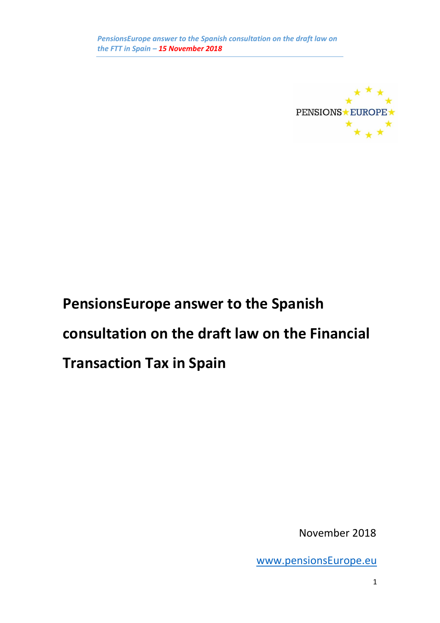

# **PensionsEurope answer to the Spanish consultation on the draft law on the Financial Transaction Tax in Spain**

November 2018

[www.pensionsEurope.eu](http://www.pensionseurope.eu/)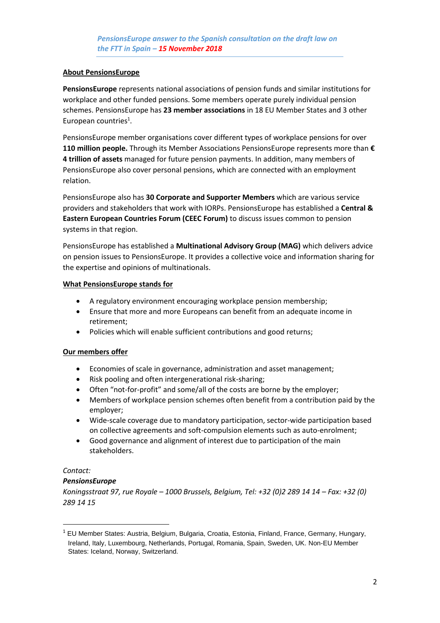#### **About PensionsEurope**

**PensionsEurope** represents national associations of pension funds and similar institutions for workplace and other funded pensions. Some members operate purely individual pension schemes. PensionsEurope has **23 member associations** in 18 EU Member States and 3 other European countries<sup>1</sup>.

PensionsEurope member organisations cover different types of workplace pensions for over **110 million people.** Through its Member Associations PensionsEurope represents more than **€ 4 trillion of assets** managed for future pension payments. In addition, many members of PensionsEurope also cover personal pensions, which are connected with an employment relation.

PensionsEurope also has **30 Corporate and Supporter Members** which are various service providers and stakeholders that work with IORPs. PensionsEurope has established a **Central & Eastern European Countries Forum (CEEC Forum)** to discuss issues common to pension systems in that region.

PensionsEurope has established a **Multinational Advisory Group (MAG)** which delivers advice on pension issues to PensionsEurope. It provides a collective voice and information sharing for the expertise and opinions of multinationals.

#### **What PensionsEurope stands for**

- A regulatory environment encouraging workplace pension membership;
- Ensure that more and more Europeans can benefit from an adequate income in retirement;
- Policies which will enable sufficient contributions and good returns;

## **Our members offer**

- Economies of scale in governance, administration and asset management;
- Risk pooling and often intergenerational risk-sharing;
- Often "not-for-profit" and some/all of the costs are borne by the employer;
- Members of workplace pension schemes often benefit from a contribution paid by the employer;
- Wide-scale coverage due to mandatory participation, sector-wide participation based on collective agreements and soft-compulsion elements such as auto-enrolment;
- Good governance and alignment of interest due to participation of the main stakeholders.

## *Contact:*

 $\overline{a}$ 

## *PensionsEurope*

*Koningsstraat 97, rue Royale – 1000 Brussels, Belgium, Tel: +32 (0)2 289 14 14 – Fax: +32 (0) 289 14 15*

 $<sup>1</sup>$  EU Member States: Austria, Belgium, Bulgaria, Croatia, Estonia, Finland, France, Germany, Hungary,</sup> Ireland, Italy, Luxembourg, Netherlands, Portugal, Romania, Spain, Sweden, UK. Non-EU Member States: Iceland, Norway, Switzerland.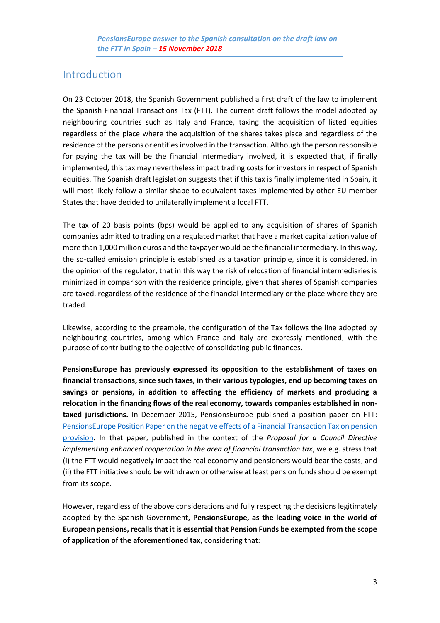## Introduction

On 23 October 2018, the Spanish Government published a first draft of the law to implement the Spanish Financial Transactions Tax (FTT). The current draft follows the model adopted by neighbouring countries such as Italy and France, taxing the acquisition of listed equities regardless of the place where the acquisition of the shares takes place and regardless of the residence of the persons or entities involved in the transaction. Although the person responsible for paying the tax will be the financial intermediary involved, it is expected that, if finally implemented, this tax may nevertheless impact trading costs for investors in respect of Spanish equities. The Spanish draft legislation suggests that if this tax is finally implemented in Spain, it will most likely follow a similar shape to equivalent taxes implemented by other EU member States that have decided to unilaterally implement a local FTT.

The tax of 20 basis points (bps) would be applied to any acquisition of shares of Spanish companies admitted to trading on a regulated market that have a market capitalization value of more than 1,000 million euros and the taxpayer would be the financial intermediary. In this way, the so-called emission principle is established as a taxation principle, since it is considered, in the opinion of the regulator, that in this way the risk of relocation of financial intermediaries is minimized in comparison with the residence principle, given that shares of Spanish companies are taxed, regardless of the residence of the financial intermediary or the place where they are traded.

Likewise, according to the preamble, the configuration of the Tax follows the line adopted by neighbouring countries, among which France and Italy are expressly mentioned, with the purpose of contributing to the objective of consolidating public finances.

**PensionsEurope has previously expressed its opposition to the establishment of taxes on financial transactions, since such taxes, in their various typologies, end up becoming taxes on savings or pensions, in addition to affecting the efficiency of markets and producing a relocation in the financing flows of the real economy, towards companies established in nontaxed jurisdictions.** In December 2015, PensionsEurope published a position paper on FTT: [PensionsEurope Position Paper on the negative effects of a Financial Transaction Tax on pension](https://www.pensionseurope.eu/system/files/PensionsEurope%20position%20paper%202015.pdf)  [provision.](https://www.pensionseurope.eu/system/files/PensionsEurope%20position%20paper%202015.pdf) In that paper, published in the context of the *Proposal for a Council Directive implementing enhanced cooperation in the area of financial transaction tax*, we e.g. stress that (i) the FTT would negatively impact the real economy and pensioners would bear the costs, and (ii) the FTT initiative should be withdrawn or otherwise at least pension funds should be exempt from its scope.

However, regardless of the above considerations and fully respecting the decisions legitimately adopted by the Spanish Government**, PensionsEurope, as the leading voice in the world of European pensions, recalls that it is essential that Pension Funds be exempted from the scope of application of the aforementioned tax**, considering that: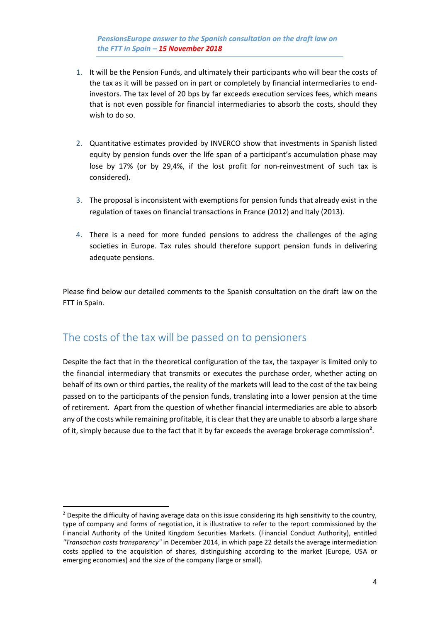*PensionsEurope answer to the Spanish consultation on the draft law on the FTT in Spain – 15 November 2018*

- 1. It will be the Pension Funds, and ultimately their participants who will bear the costs of the tax as it will be passed on in part or completely by financial intermediaries to endinvestors. The tax level of 20 bps by far exceeds execution services fees, which means that is not even possible for financial intermediaries to absorb the costs, should they wish to do so.
- 2. Quantitative estimates provided by INVERCO show that investments in Spanish listed equity by pension funds over the life span of a participant's accumulation phase may lose by 17% (or by 29,4%, if the lost profit for non-reinvestment of such tax is considered).
- 3. The proposal is inconsistent with exemptions for pension funds that already exist in the regulation of taxes on financial transactions in France (2012) and Italy (2013).
- 4. There is a need for more funded pensions to address the challenges of the aging societies in Europe. Tax rules should therefore support pension funds in delivering adequate pensions.

Please find below our detailed comments to the Spanish consultation on the draft law on the FTT in Spain.

## The costs of the tax will be passed on to pensioners

**.** 

Despite the fact that in the theoretical configuration of the tax, the taxpayer is limited only to the financial intermediary that transmits or executes the purchase order, whether acting on behalf of its own or third parties, the reality of the markets will lead to the cost of the tax being passed on to the participants of the pension funds, translating into a lower pension at the time of retirement. Apart from the question of whether financial intermediaries are able to absorb any of the costs while remaining profitable, it is clear that they are unable to absorb a large share of it, simply because due to the fact that it by far exceeds the average brokerage commission**<sup>2</sup>** .

<sup>&</sup>lt;sup>2</sup> Despite the difficulty of having average data on this issue considering its high sensitivity to the country, type of company and forms of negotiation, it is illustrative to refer to the report commissioned by the Financial Authority of the United Kingdom Securities Markets. (Financial Conduct Authority), entitled *"Transaction costs transparency"* in December 2014, in which page 22 details the average intermediation costs applied to the acquisition of shares, distinguishing according to the market (Europe, USA or emerging economies) and the size of the company (large or small).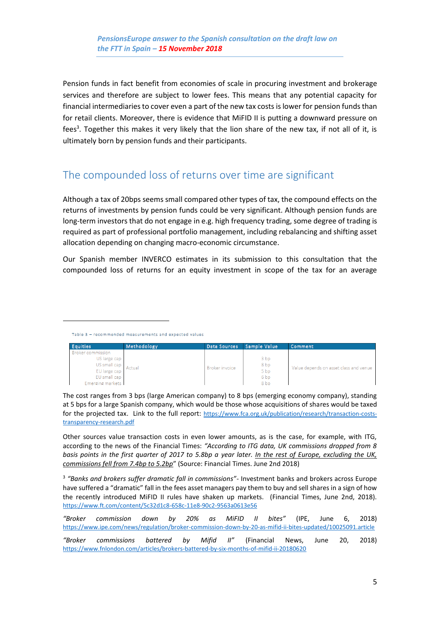Pension funds in fact benefit from economies of scale in procuring investment and brokerage services and therefore are subject to lower fees. This means that any potential capacity for financial intermediaries to cover even a part of the new tax costs is lower for pension funds than for retail clients. Moreover, there is evidence that MiFID II is putting a downward pressure on fees<sup>3</sup>. Together this makes it very likely that the lion share of the new tax, if not all of it, is ultimately born by pension funds and their participants.

## The compounded loss of returns over time are significant

Although a tax of 20bps seems small compared other types of tax, the compound effects on the returns of investments by pension funds could be very significant. Although pension funds are long-term investors that do not engage in e.g. high frequency trading, some degree of trading is required as part of professional portfolio management, including rebalancing and shifting asset allocation depending on changing macro-economic circumstance.

Our Spanish member INVERCO estimates in its submission to this consultation that the compounded loss of returns for an equity investment in scope of the tax for an average

1

| <b>Equities</b>                                                                                                       | Methodology | Data Sources          | Sample Value                                                                                | Comment                                |
|-----------------------------------------------------------------------------------------------------------------------|-------------|-----------------------|---------------------------------------------------------------------------------------------|----------------------------------------|
| <b>Broker commission</b><br>US large cap<br>US small cap   Actual<br>EU large cap<br>EU small cap<br>Emerging markets |             | <b>Broker invoice</b> | 3 <sub>bp</sub><br>8 <sub>bp</sub><br>5 <sub>bp</sub><br>6 <sub>bp</sub><br>8 <sub>bp</sub> | Value depends on asset class and venue |

The cost ranges from 3 bps (large American company) to 8 bps (emerging economy company), standing at 5 bps for a large Spanish company, which would be those whose acquisitions of shares would be taxed for the projected tax. Link to the full report: [https://www.fca.org.uk/publication/research/transaction-costs](https://www.fca.org.uk/publication/research/transaction-costs-transparency-research.pdf)[transparency-research.pdf](https://www.fca.org.uk/publication/research/transaction-costs-transparency-research.pdf)

Other sources value transaction costs in even lower amounts, as is the case, for example, with ITG, according to the news of the Financial Times: *"According to ITG data, UK commissions dropped from 8 basis points in the first quarter of 2017 to 5.8bp a year later. In the rest of Europe, excluding the UK, commissions fell from 7.4bp to 5.2bp*" (Source: Financial Times. June 2nd 2018)

3 *"Banks and brokers suffer dramatic fall in commissions"*- Investment banks and brokers across Europe have suffered a "dramatic" fall in the fees asset managers pay them to buy and sell shares in a sign of how the recently introduced MiFID II rules have shaken up markets. (Financial Times, June 2nd, 2018). <https://www.ft.com/content/5c32d1c8-658c-11e8-90c2-9563a0613e56>

|                                                                                       | "Broker commission down by 20% as MiFID II bites" (IPE, June 6, 2018)                                       |  |  |  |  |  |  |  |  |  |  |
|---------------------------------------------------------------------------------------|-------------------------------------------------------------------------------------------------------------|--|--|--|--|--|--|--|--|--|--|
|                                                                                       | https://www.ipe.com/news/regulation/broker-commission-down-by-20-as-mifid-ii-bites-updated/10025091.article |  |  |  |  |  |  |  |  |  |  |
|                                                                                       | "Broker commissions battered by Mifid II" (Financial News. June 20. 2018)                                   |  |  |  |  |  |  |  |  |  |  |
| https://www.fnlondon.com/articles/brokers-battered-by-six-months-of-mifid-ii-20180620 |                                                                                                             |  |  |  |  |  |  |  |  |  |  |

Table 3 - recommended measurements and expected values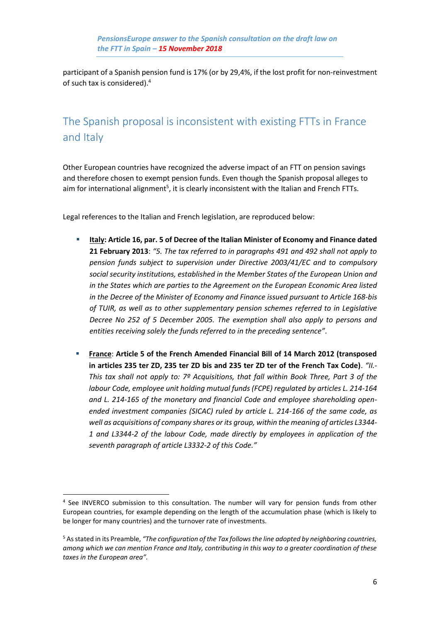participant of a Spanish pension fund is 17% (or by 29,4%, if the lost profit for non-reinvestment of such tax is considered). 4

## The Spanish proposal is inconsistent with existing FTTs in France and Italy

Other European countries have recognized the adverse impact of an FTT on pension savings and therefore chosen to exempt pension funds. Even though the Spanish proposal alleges to aim for international alignment<sup>5</sup>, it is clearly inconsistent with the Italian and French FTTs.

Legal references to the Italian and French legislation, are reproduced below:

- **Italy: Article 16, par. 5 of Decree of the Italian Minister of Economy and Finance dated 21 February 2013**: *"5. The tax referred to in paragraphs 491 and 492 shall not apply to pension funds subject to supervision under Directive 2003/41/EC and to compulsory social security institutions, established in the Member States of the European Union and in the States which are parties to the Agreement on the European Economic Area listed in the Decree of the Minister of Economy and Finance issued pursuant to Article 168-bis of TUIR, as well as to other supplementary pension schemes referred to in Legislative Decree No 252 of 5 December 2005. The exemption shall also apply to persons and entities receiving solely the funds referred to in the preceding sentence"*.
- **France: Article 5 of the French Amended Financial Bill of 14 March 2012 (transposed in articles 235 ter ZD, 235 ter ZD bis and 235 ter ZD ter of the French Tax Code)**. *"II.- This tax shall not apply to: 7º Acquisitions, that fall within Book Three, Part 3 of the labour Code, employee unit holding mutual funds (FCPE) regulated by articles L. 214-164 and L. 214-165 of the monetary and financial Code and employee shareholding openended investment companies (SICAC) ruled by article L. 214-166 of the same code, as well as acquisitions of company shares or its group, within the meaning of articles L3344- 1 and L3344-2 of the labour Code, made directly by employees in application of the seventh paragraph of article L3332-2 of this Code."*

1

<sup>&</sup>lt;sup>4</sup> See INVERCO submission to this consultation. The number will vary for pension funds from other European countries, for example depending on the length of the accumulation phase (which is likely to be longer for many countries) and the turnover rate of investments.

<sup>5</sup> As stated in its Preamble, *"The configuration of the Tax follows the line adopted by neighboring countries, among which we can mention France and Italy, contributing in this way to a greater coordination of these taxes in the European area".*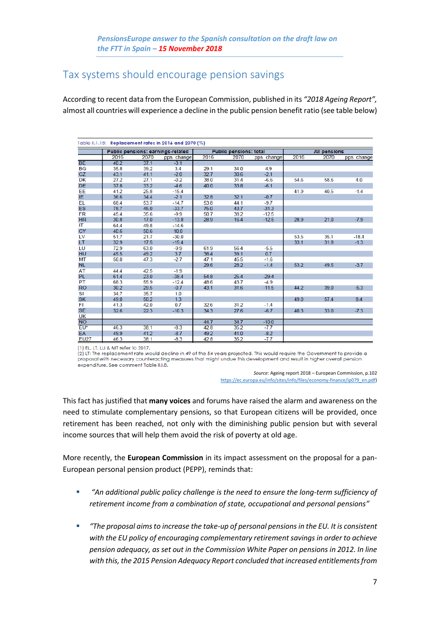## Tax systems should encourage pension savings

According to recent data from the European Commission, published in its *"2018 Ageing Report",* almost all countries will experience a decline in the public pension benefit ratio (see table below)

| Table II.1.18: Replacement rates in 2016 and 2070 (%) |      |      |                                   |                               |      |             |                     |      |             |  |  |
|-------------------------------------------------------|------|------|-----------------------------------|-------------------------------|------|-------------|---------------------|------|-------------|--|--|
|                                                       |      |      | Public pensions: earnings-related | <b>Public pensions: total</b> |      |             | <b>All pensions</b> |      |             |  |  |
|                                                       | 2016 | 2070 | pps. change                       | 2016                          | 2070 | pps. change | 2016                | 2070 | pps. change |  |  |
| <b>BE</b>                                             | 40.2 | 37.1 | $-3.1$                            |                               |      |             |                     |      |             |  |  |
| BG                                                    | 35.8 | 39.2 | 3.4                               | 29.1                          | 34.0 | 4.9         |                     |      |             |  |  |
| CZ                                                    | 43.1 | 41.1 | $-2.0$                            | 32.7                          | 30.6 | $-2.1$      |                     |      |             |  |  |
| DK                                                    | 27.2 | 27.1 | $-0.2$                            | 38.0                          | 31.4 | $-6.6$      | 54.6                | 58.6 | 4.0         |  |  |
| <b>DE</b>                                             | 37.8 | 33.2 | $-4.6$                            | 40.0                          | 33.8 | $-6.1$      |                     |      |             |  |  |
| EE                                                    | 41.2 | 25.8 | $-15.4$                           |                               |      |             | 41.9                | 40.5 | $-1.4$      |  |  |
| IE.                                                   | 36.6 | 34.4 | $-2.1$                            | 32.8                          | 32.1 | $-0.7$      |                     |      |             |  |  |
| EL                                                    | 68.4 | 53.7 | $-14.7$                           | 53.8                          | 44.1 | $-9.7$      |                     |      |             |  |  |
| <b>ES</b>                                             | 78.7 | 45.0 | $-33.7$                           | 75.0                          | 43.7 | $-31.3$     |                     |      |             |  |  |
| <b>FR</b>                                             | 45.4 | 35.6 | $-9.9$                            | 50.7                          | 38.2 | $-12.5$     |                     |      |             |  |  |
| <b>HR</b>                                             | 30.8 | 17.0 | $-13.8$                           | 28.9                          | 16.4 | $-12.5$     | 28.9                | 21.0 | $-7.9$      |  |  |
| ΙT                                                    | 64.4 | 49.8 | $-14.6$                           |                               |      |             |                     |      |             |  |  |
| <b>CY</b>                                             | 40.6 | 50.6 | 10.0                              |                               |      |             |                     |      |             |  |  |
| LV                                                    | 51.7 | 21.7 | $-30.0$                           |                               |      |             | 53.5                | 35.1 | $-18.4$     |  |  |
| LT.                                                   | 32.9 | 17.5 | $-15.4$                           |                               |      |             | 33.1                | 31.8 | $-1.3$      |  |  |
| LU                                                    | 72.9 | 63.0 | $-9.9$                            | 61.9                          | 56.4 | $-5.5$      |                     |      |             |  |  |
| <b>HU</b>                                             | 45.5 | 49.2 | 3.7                               | 38.4                          | 39.1 | 0.7         |                     |      |             |  |  |
| MT                                                    | 50.0 | 47.3 | $-2.7$                            | 47.1                          | 45.5 | $-1.6$      |                     |      |             |  |  |
| <b>NL</b>                                             |      |      |                                   | 29.6                          | 28.2 | $-1.4$      | 53.2                | 49.5 | $-3.7$      |  |  |
| AT                                                    | 44.4 | 42.5 | $-1.9$                            |                               |      |             |                     |      |             |  |  |
| <b>PL</b>                                             | 61.4 | 23.0 | $-38.4$                           | 54.8                          | 25.4 | $-29.4$     |                     |      |             |  |  |
| PT                                                    | 68.3 | 55.9 | $-12.4$                           | 48.6                          | 43.7 | $-4.9$      |                     |      |             |  |  |
| <b>RO</b>                                             | 30.2 | 29.5 | $-0.7$                            | 43.1                          | 31.6 | $-11.5$     | 44.2                | 39.0 | $-5.3$      |  |  |
| SI                                                    | 34.7 | 35.7 | 1.0                               |                               |      |             |                     |      |             |  |  |
| <b>SK</b>                                             | 49.0 | 50.2 | 1.3                               |                               |      |             | 49.0                | 57.4 | 8.4         |  |  |
| FI                                                    | 41.3 | 42.0 | 0.7                               | 32.6                          | 31.2 | $-1.4$      |                     |      |             |  |  |
| <b>SE</b>                                             | 32.6 | 22.3 | $-10.3$                           | 34.3                          | 27.6 | $-6.7$      | 40.3                | 33.0 | $-7.3$      |  |  |
| UK                                                    |      |      |                                   |                               |      |             |                     |      |             |  |  |
| <b>NO</b>                                             |      |      |                                   | 44.7                          | 34.7 | $-10.0$     |                     |      |             |  |  |
| EU*                                                   | 46.3 | 38.1 | $-8.3$                            | 42.8                          | 35.2 | $-7.7$      |                     |      |             |  |  |
| EA                                                    | 49.9 | 41.2 | $-8.7$                            | 49.2                          | 41.0 | $-8.2$      |                     |      |             |  |  |
| <b>EU27</b>                                           | 46.3 | 38.1 | $-8.3$                            | 42.8                          | 35.2 | -7.7        |                     |      |             |  |  |

(1) FL LT LU & MT refer to 2017.

(2) LT: The replacement rate would decline in 49 of the 54 years projected. This would require the Government to provide a proposal with necessary counteracting measures that might undue this development and result in higher overall pension expenditure. See comment Table II.I.8.

> *Source:* Ageing report 2018 – European Commission, p.102 [https://ec.europa.eu/info/sites/info/files/economy-finance/ip079\\_en.pdf\)](https://ec.europa.eu/info/sites/info/files/economy-finance/ip079_en.pdf)

This fact has justified that **many voices** and forums have raised the alarm and awareness on the need to stimulate complementary pensions, so that European citizens will be provided, once retirement has been reached, not only with the diminishing public pension but with several income sources that will help them avoid the risk of poverty at old age.

More recently, the **European Commission** in its impact assessment on the proposal for a pan-European personal pension product (PEPP), reminds that:

- *"An additional public policy challenge is the need to ensure the long-term sufficiency of retirement income from a combination of state, occupational and personal pensions"*
- *"The proposal aims to increase the take-up of personal pensions in the EU. It is consistent with the EU policy of encouraging complementary retirement savings in order to achieve pension adequacy, as set out in the Commission White Paper on pensions in 2012. In line with this, the 2015 Pension Adequacy Report concluded that increased entitlements from*